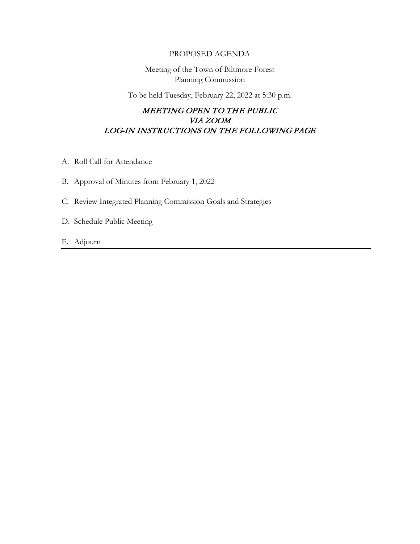## PROPOSED AGENDA

Meeting of the Town of Biltmore Forest Planning Commission

To be held Tuesday, February 22, 2022 at 5:30 p.m.

## MEETING OPEN TO THE PUBLIC VIA ZOOM LOG-IN INSTRUCTIONS ON THE FOLLOWING PAGE

- A. Roll Call for Attendance
- B. Approval of Minutes from February 1, 2022
- C. Review Integrated Planning Commission Goals and Strategies
- D. Schedule Public Meeting
- E. Adjourn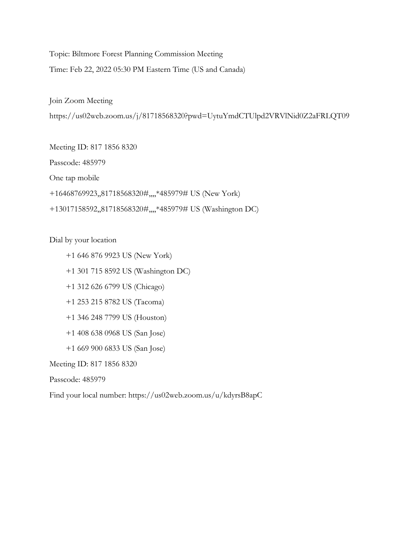Topic: Biltmore Forest Planning Commission Meeting

Time: Feb 22, 2022 05:30 PM Eastern Time (US and Canada)

Join Zoom Meeting

https://us02web.zoom.us/j/81718568320?pwd=UytuYmdCTUlpd2VRVlNid0Z2aFRLQT09

Meeting ID: 817 1856 8320

Passcode: 485979

One tap mobile

+16468769923,,81718568320#,,,,\*485979# US (New York)

+13017158592,,81718568320#,,,,\*485979# US (Washington DC)

Dial by your location

+1 646 876 9923 US (New York)

+1 301 715 8592 US (Washington DC)

+1 312 626 6799 US (Chicago)

+1 253 215 8782 US (Tacoma)

+1 346 248 7799 US (Houston)

+1 408 638 0968 US (San Jose)

+1 669 900 6833 US (San Jose)

Meeting ID: 817 1856 8320

Passcode: 485979

Find your local number: https://us02web.zoom.us/u/kdyrsB8apC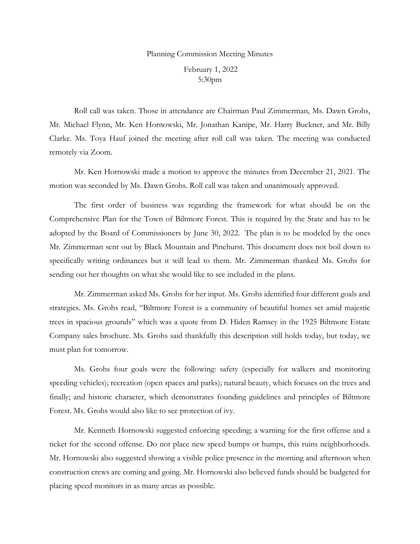## Planning Commission Meeting Minutes

February 1, 2022 5:30pm

Roll call was taken. Those in attendance are Chairman Paul Zimmerman, Ms. Dawn Grohs, Mr. Michael Flynn, Mr. Ken Hornowski, Mr. Jonathan Kanipe, Mr. Harry Buckner, and Mr. Billy Clarke. Ms. Toya Hauf joined the meeting after roll call was taken. The meeting was conducted remotely via Zoom.

Mr. Ken Hornowski made a motion to approve the minutes from December 21, 2021. The motion was seconded by Ms. Dawn Grohs. Roll call was taken and unanimously approved.

The first order of business was regarding the framework for what should be on the Comprehensive Plan for the Town of Biltmore Forest. This is required by the State and has to be adopted by the Board of Commissioners by June 30, 2022. The plan is to be modeled by the ones Mr. Zimmerman sent out by Black Mountain and Pinehurst. This document does not boil down to specifically writing ordinances but it will lead to them. Mr. Zimmerman thanked Ms. Grohs for sending out her thoughts on what she would like to see included in the plans.

Mr. Zimmerman asked Ms. Grohs for her input. Ms. Grohs identified four different goals and strategies. Ms. Grohs read, "Biltmore Forest is a community of beautiful homes set amid majestic trees in spacious grounds" which was a quote from D. Hiden Ramsey in the 1925 Biltmore Estate Company sales brochure. Ms. Grohs said thankfully this description still holds today, but today, we must plan for tomorrow.

Ms. Grohs four goals were the following: safety (especially for walkers and monitoring speeding vehicles); recreation (open spaces and parks); natural beauty, which focuses on the trees and finally; and historic character, which demonstrates founding guidelines and principles of Biltmore Forest. Ms. Grohs would also like to see protection of ivy.

Mr. Kenneth Hornowski suggested enforcing speeding; a warning for the first offense and a ticket for the second offense. Do not place new speed bumps or humps, this ruins neighborhoods. Mr. Hornowski also suggested showing a visible police presence in the morning and afternoon when construction crews are coming and going. Mr. Hornowski also believed funds should be budgeted for placing speed monitors in as many areas as possible.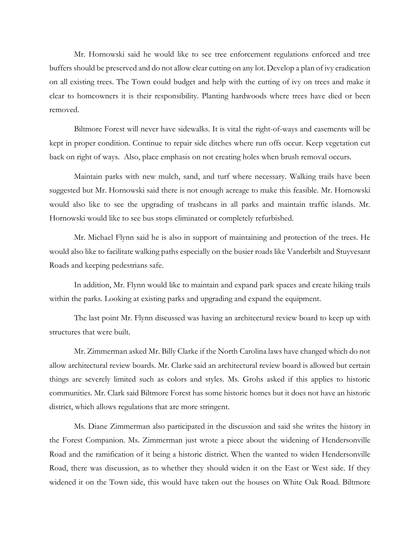Mr. Hornowski said he would like to see tree enforcement regulations enforced and tree buffers should be preserved and do not allow clear cutting on any lot. Develop a plan of ivy eradication on all existing trees. The Town could budget and help with the cutting of ivy on trees and make it clear to homeowners it is their responsibility. Planting hardwoods where trees have died or been removed.

Biltmore Forest will never have sidewalks. It is vital the right-of-ways and easements will be kept in proper condition. Continue to repair side ditches where run offs occur. Keep vegetation cut back on right of ways. Also, place emphasis on not creating holes when brush removal occurs.

Maintain parks with new mulch, sand, and turf where necessary. Walking trails have been suggested but Mr. Hornowski said there is not enough acreage to make this feasible. Mr. Hornowski would also like to see the upgrading of trashcans in all parks and maintain traffic islands. Mr. Hornowski would like to see bus stops eliminated or completely refurbished.

Mr. Michael Flynn said he is also in support of maintaining and protection of the trees. He would also like to facilitate walking paths especially on the busier roads like Vanderbilt and Stuyvesant Roads and keeping pedestrians safe.

In addition, Mr. Flynn would like to maintain and expand park spaces and create hiking trails within the parks. Looking at existing parks and upgrading and expand the equipment.

The last point Mr. Flynn discussed was having an architectural review board to keep up with structures that were built.

Mr. Zimmerman asked Mr. Billy Clarke if the North Carolina laws have changed which do not allow architectural review boards. Mr. Clarke said an architectural review board is allowed but certain things are severely limited such as colors and styles. Ms. Grohs asked if this applies to historic communities. Mr. Clark said Biltmore Forest has some historic homes but it does not have an historic district, which allows regulations that are more stringent.

Ms. Diane Zimmerman also participated in the discussion and said she writes the history in the Forest Companion. Ms. Zimmerman just wrote a piece about the widening of Hendersonville Road and the ramification of it being a historic district. When the wanted to widen Hendersonville Road, there was discussion, as to whether they should widen it on the East or West side. If they widened it on the Town side, this would have taken out the houses on White Oak Road. Biltmore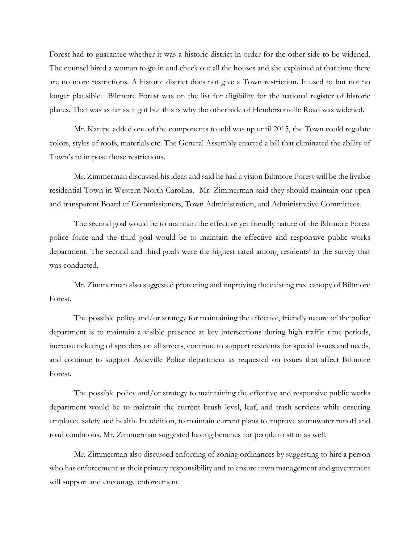Forest had to guarantee whether it was a historic district in order for the other side to be widened. The counsel hired a woman to go in and check out all the houses and she explained at that time there are no more restrictions. A historic district does not give a Town restriction. It used to but not no longer plausible. Biltmore Forest was on the list for eligibility for the national register of historic places. That was as far as it got but this is why the other side of Hendersonville Road was widened.

Mr. Kanipe added one of the components to add was up until 2015, the Town could regulate colors, styles of roofs, materials etc. The General Assembly enacted a bill that eliminated the ability of Town's to impose those restrictions.

Mr. Zimmerman discussed his ideas and said he had a vision Biltmore Forest will be the livable residential Town in Western North Carolina. Mr. Zimmerman said they should maintain our open and transparent Board of Commissioners, Town Administration, and Administrative Committees.

The second goal would be to maintain the effective yet friendly nature of the Biltmore Forest police force and the third goal would be to maintain the effective and responsive public works department. The second and third goals were the highest rated among residents' in the survey that was conducted.

Mr. Zimmerman also suggested protecting and improving the existing tree canopy of Biltmore Forest.

The possible policy and/or strategy for maintaining the effective, friendly nature of the police department is to maintain a visible presence at key intersections during high traffic time periods, increase ticketing of speeders on all streets, continue to support residents for special issues and needs, and continue to support Asheville Police department as requested on issues that affect Biltmore Forest.

The possible policy and/or strategy to maintaining the effective and responsive public works department would be to maintain the current brush level, leaf, and trash services while ensuring employee safety and health. In addition, to maintain current plans to improve stormwater runoff and road conditions. Mr. Zimmerman suggested having benches for people to sit in as well.

Mr. Zimmerman also discussed enforcing of zoning ordinances by suggesting to hire a person who has enforcement as their primary responsibility and to ensure town management and government will support and encourage enforcement.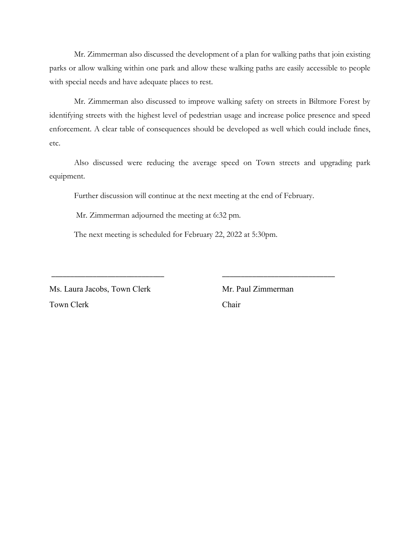Mr. Zimmerman also discussed the development of a plan for walking paths that join existing parks or allow walking within one park and allow these walking paths are easily accessible to people with special needs and have adequate places to rest.

Mr. Zimmerman also discussed to improve walking safety on streets in Biltmore Forest by identifying streets with the highest level of pedestrian usage and increase police presence and speed enforcement. A clear table of consequences should be developed as well which could include fines, etc.

Also discussed were reducing the average speed on Town streets and upgrading park equipment.

Further discussion will continue at the next meeting at the end of February.

\_\_\_\_\_\_\_\_\_\_\_\_\_\_\_\_\_\_\_\_\_\_\_\_\_\_\_\_\_\_ \_\_\_\_\_\_\_\_\_\_\_\_\_\_\_\_\_\_\_\_\_\_\_\_\_\_\_\_\_\_

Mr. Zimmerman adjourned the meeting at 6:32 pm.

The next meeting is scheduled for February 22, 2022 at 5:30pm.

Ms. Laura Jacobs, Town Clerk Mr. Paul Zimmerman Town Clerk Chair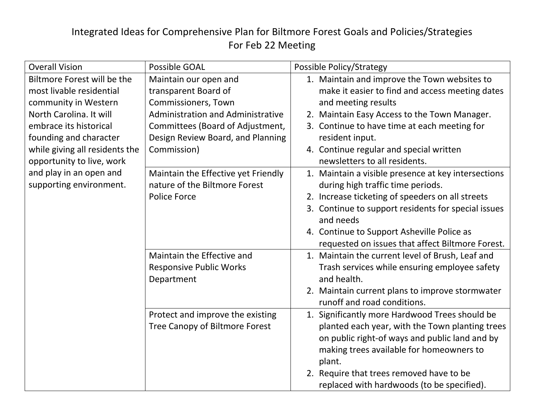## Integrated Ideas for Comprehensive Plan for Biltmore Forest Goals and Policies/Strategies For Feb 22 Meeting

| <b>Overall Vision</b>          | <b>Possible GOAL</b>                         | Possible Policy/Strategy                                     |
|--------------------------------|----------------------------------------------|--------------------------------------------------------------|
| Biltmore Forest will be the    | Maintain our open and                        | 1. Maintain and improve the Town websites to                 |
| most livable residential       | transparent Board of                         | make it easier to find and access meeting dates              |
| community in Western           | Commissioners, Town                          | and meeting results                                          |
| North Carolina. It will        | Administration and Administrative            | 2. Maintain Easy Access to the Town Manager.                 |
| embrace its historical         | Committees (Board of Adjustment,             | 3. Continue to have time at each meeting for                 |
| founding and character         | Design Review Board, and Planning            | resident input.                                              |
| while giving all residents the | Commission)                                  | 4. Continue regular and special written                      |
| opportunity to live, work      |                                              | newsletters to all residents.                                |
| and play in an open and        | Maintain the Effective yet Friendly          | 1. Maintain a visible presence at key intersections          |
| supporting environment.        | nature of the Biltmore Forest                | during high traffic time periods.                            |
|                                | <b>Police Force</b>                          | 2. Increase ticketing of speeders on all streets             |
|                                |                                              | 3. Continue to support residents for special issues          |
|                                |                                              | and needs                                                    |
|                                |                                              | 4. Continue to Support Asheville Police as                   |
|                                |                                              | requested on issues that affect Biltmore Forest.             |
|                                | Maintain the Effective and                   | 1. Maintain the current level of Brush, Leaf and             |
|                                | <b>Responsive Public Works</b><br>Department | Trash services while ensuring employee safety<br>and health. |
|                                |                                              | 2. Maintain current plans to improve stormwater              |
|                                |                                              | runoff and road conditions.                                  |
|                                | Protect and improve the existing             | 1. Significantly more Hardwood Trees should be               |
|                                | Tree Canopy of Biltmore Forest               | planted each year, with the Town planting trees              |
|                                |                                              | on public right-of ways and public land and by               |
|                                |                                              | making trees available for homeowners to                     |
|                                |                                              | plant.                                                       |
|                                |                                              | 2. Require that trees removed have to be                     |
|                                |                                              | replaced with hardwoods (to be specified).                   |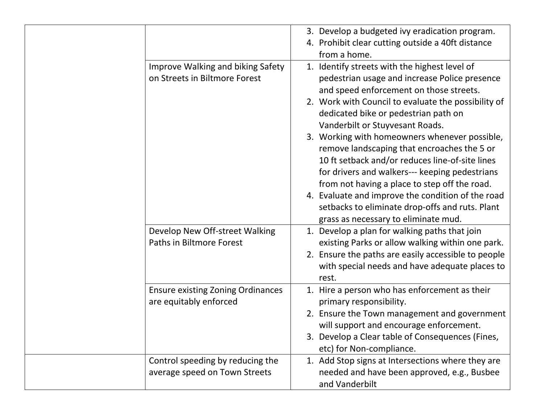|                                                                           | 3. Develop a budgeted ivy eradication program.<br>4. Prohibit clear cutting outside a 40ft distance<br>from a home.                                                                                                                                                                                                                                                                                                                                                                                                                                                                                                                       |
|---------------------------------------------------------------------------|-------------------------------------------------------------------------------------------------------------------------------------------------------------------------------------------------------------------------------------------------------------------------------------------------------------------------------------------------------------------------------------------------------------------------------------------------------------------------------------------------------------------------------------------------------------------------------------------------------------------------------------------|
| <b>Improve Walking and biking Safety</b><br>on Streets in Biltmore Forest | 1. Identify streets with the highest level of<br>pedestrian usage and increase Police presence<br>and speed enforcement on those streets.<br>2. Work with Council to evaluate the possibility of<br>dedicated bike or pedestrian path on<br>Vanderbilt or Stuyvesant Roads.<br>3. Working with homeowners whenever possible,<br>remove landscaping that encroaches the 5 or<br>10 ft setback and/or reduces line-of-site lines<br>for drivers and walkers--- keeping pedestrians<br>from not having a place to step off the road.<br>4. Evaluate and improve the condition of the road<br>setbacks to eliminate drop-offs and ruts. Plant |
| Develop New Off-street Walking<br>Paths in Biltmore Forest                | grass as necessary to eliminate mud.<br>1. Develop a plan for walking paths that join<br>existing Parks or allow walking within one park.<br>2. Ensure the paths are easily accessible to people<br>with special needs and have adequate places to<br>rest.                                                                                                                                                                                                                                                                                                                                                                               |
| <b>Ensure existing Zoning Ordinances</b><br>are equitably enforced        | 1. Hire a person who has enforcement as their<br>primary responsibility.<br>2. Ensure the Town management and government<br>will support and encourage enforcement.<br>3. Develop a Clear table of Consequences (Fines,<br>etc) for Non-compliance.                                                                                                                                                                                                                                                                                                                                                                                       |
| Control speeding by reducing the<br>average speed on Town Streets         | 1. Add Stop signs at Intersections where they are<br>needed and have been approved, e.g., Busbee<br>and Vanderbilt                                                                                                                                                                                                                                                                                                                                                                                                                                                                                                                        |